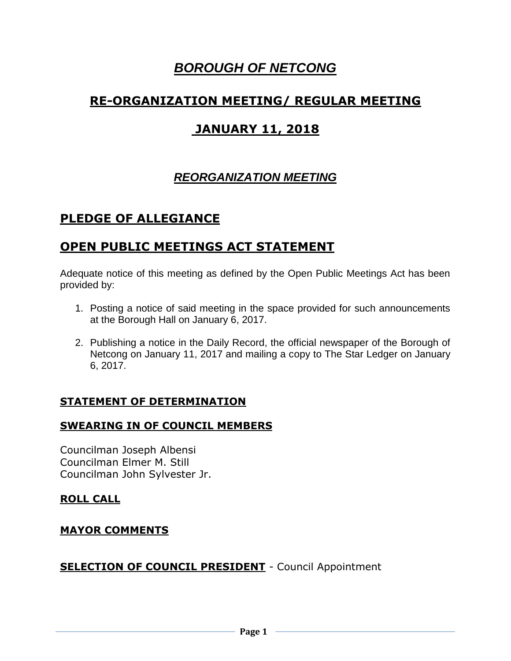# *BOROUGH OF NETCONG*

# **RE-ORGANIZATION MEETING/ REGULAR MEETING**

# **JANUARY 11, 2018**

# *REORGANIZATION MEETING*

# **PLEDGE OF ALLEGIANCE**

# **OPEN PUBLIC MEETINGS ACT STATEMENT**

Adequate notice of this meeting as defined by the Open Public Meetings Act has been provided by:

- 1. Posting a notice of said meeting in the space provided for such announcements at the Borough Hall on January 6, 2017.
- 2. Publishing a notice in the Daily Record, the official newspaper of the Borough of Netcong on January 11, 2017 and mailing a copy to The Star Ledger on January 6, 2017.

## **STATEMENT OF DETERMINATION**

## **SWEARING IN OF COUNCIL MEMBERS**

Councilman Joseph Albensi Councilman Elmer M. Still Councilman John Sylvester Jr.

# **ROLL CALL**

## **MAYOR COMMENTS**

## **SELECTION OF COUNCIL PRESIDENT** - Council Appointment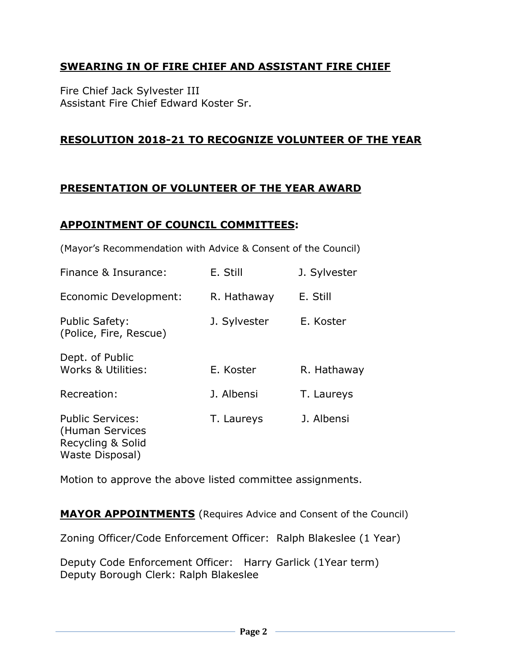## **SWEARING IN OF FIRE CHIEF AND ASSISTANT FIRE CHIEF**

Fire Chief Jack Sylvester III Assistant Fire Chief Edward Koster Sr.

### **RESOLUTION 2018-21 TO RECOGNIZE VOLUNTEER OF THE YEAR**

### **PRESENTATION OF VOLUNTEER OF THE YEAR AWARD**

### **APPOINTMENT OF COUNCIL COMMITTEES:**

(Mayor's Recommendation with Advice & Consent of the Council)

| Finance & Insurance:                                                               | E. Still     | J. Sylvester |
|------------------------------------------------------------------------------------|--------------|--------------|
| Economic Development:                                                              | R. Hathaway  | E. Still     |
| <b>Public Safety:</b><br>(Police, Fire, Rescue)                                    | J. Sylvester | E. Koster    |
| Dept. of Public<br>Works & Utilities:                                              | E. Koster    | R. Hathaway  |
| Recreation:                                                                        | J. Albensi   | T. Laureys   |
| <b>Public Services:</b><br>(Human Services<br>Recycling & Solid<br>Waste Disposal) | T. Laureys   | J. Albensi   |

Motion to approve the above listed committee assignments.

**MAYOR APPOINTMENTS** (Requires Advice and Consent of the Council)

Zoning Officer/Code Enforcement Officer: Ralph Blakeslee (1 Year)

Deputy Code Enforcement Officer: Harry Garlick (1Year term) Deputy Borough Clerk: Ralph Blakeslee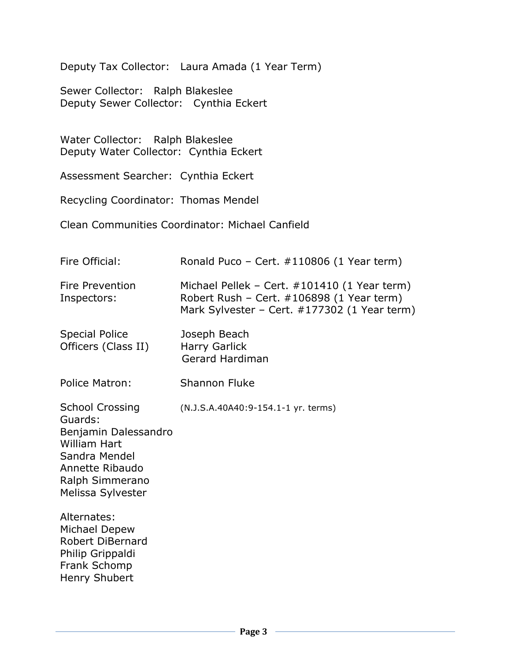Deputy Tax Collector: Laura Amada (1 Year Term)

Sewer Collector: Ralph Blakeslee Deputy Sewer Collector: Cynthia Eckert

Water Collector: Ralph Blakeslee Deputy Water Collector: Cynthia Eckert

Assessment Searcher: Cynthia Eckert

Recycling Coordinator: Thomas Mendel

Clean Communities Coordinator: Michael Canfield

| Fire Official:                                                                                                                                               | Ronald Puco – Cert. $\#110806$ (1 Year term)                                                                                              |
|--------------------------------------------------------------------------------------------------------------------------------------------------------------|-------------------------------------------------------------------------------------------------------------------------------------------|
| <b>Fire Prevention</b><br>Inspectors:                                                                                                                        | Michael Pellek – Cert. #101410 (1 Year term)<br>Robert Rush - Cert. #106898 (1 Year term)<br>Mark Sylvester - Cert. #177302 (1 Year term) |
| <b>Special Police</b><br>Officers (Class II)                                                                                                                 | Joseph Beach<br><b>Harry Garlick</b><br><b>Gerard Hardiman</b>                                                                            |
| Police Matron:                                                                                                                                               | <b>Shannon Fluke</b>                                                                                                                      |
| <b>School Crossing</b><br>Guards:<br>Benjamin Dalessandro<br><b>William Hart</b><br>Sandra Mendel<br>Annette Ribaudo<br>Ralph Simmerano<br>Melissa Sylvester | (N.J.S.A.40A40:9-154.1-1 yr. terms)                                                                                                       |
| Alternates:<br>Michael Depew<br><b>Robert DiBernard</b><br>Philip Grippaldi<br>Frank Schomp<br>Henry Shubert                                                 |                                                                                                                                           |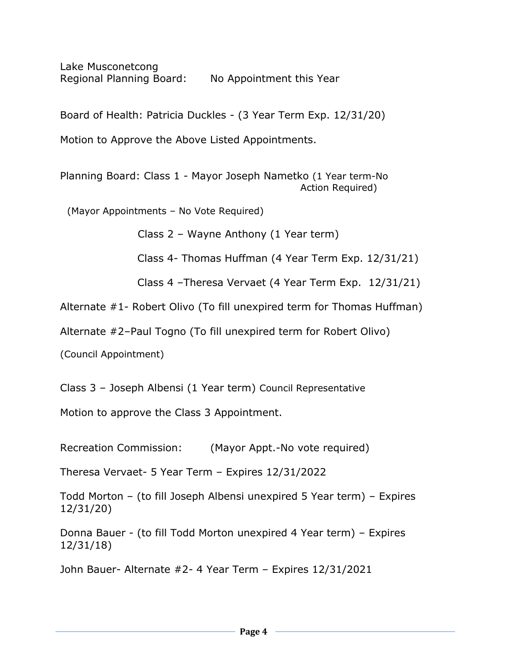Lake Musconetcong Regional Planning Board: No Appointment this Year

Board of Health: Patricia Duckles - (3 Year Term Exp. 12/31/20)

Motion to Approve the Above Listed Appointments.

Planning Board: Class 1 - Mayor Joseph Nametko (1 Year term-No Action Required)

(Mayor Appointments – No Vote Required)

Class 2 – Wayne Anthony (1 Year term)

Class 4- Thomas Huffman (4 Year Term Exp. 12/31/21)

Class 4 –Theresa Vervaet (4 Year Term Exp. 12/31/21)

Alternate #1- Robert Olivo (To fill unexpired term for Thomas Huffman)

Alternate #2–Paul Togno (To fill unexpired term for Robert Olivo)

(Council Appointment)

Class 3 – Joseph Albensi (1 Year term) Council Representative

Motion to approve the Class 3 Appointment.

Recreation Commission: (Mayor Appt.-No vote required)

Theresa Vervaet- 5 Year Term – Expires 12/31/2022

Todd Morton – (to fill Joseph Albensi unexpired 5 Year term) – Expires 12/31/20)

Donna Bauer - (to fill Todd Morton unexpired 4 Year term) – Expires 12/31/18)

John Bauer- Alternate #2- 4 Year Term – Expires 12/31/2021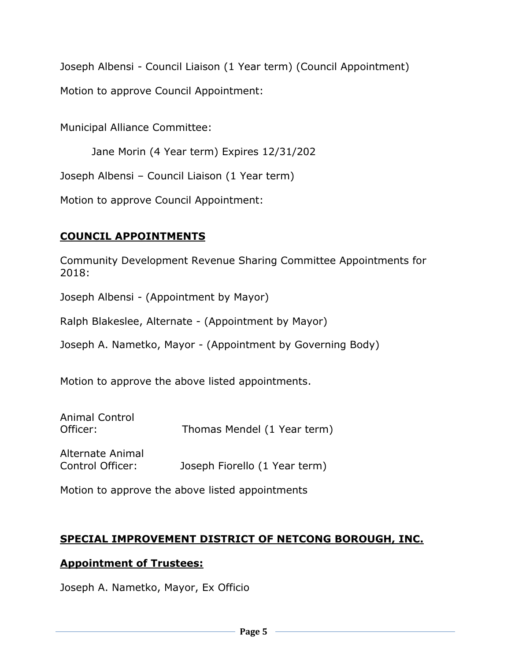Joseph Albensi - Council Liaison (1 Year term) (Council Appointment)

Motion to approve Council Appointment:

Municipal Alliance Committee:

Jane Morin (4 Year term) Expires 12/31/202

Joseph Albensi – Council Liaison (1 Year term)

Motion to approve Council Appointment:

# **COUNCIL APPOINTMENTS**

Community Development Revenue Sharing Committee Appointments for 2018:

Joseph Albensi - (Appointment by Mayor)

Ralph Blakeslee, Alternate - (Appointment by Mayor)

Joseph A. Nametko, Mayor - (Appointment by Governing Body)

Motion to approve the above listed appointments.

| Animal Control<br>Officer:           | Thomas Mendel (1 Year term)   |
|--------------------------------------|-------------------------------|
| Alternate Animal<br>Control Officer: | Joseph Fiorello (1 Year term) |

Motion to approve the above listed appointments

# **SPECIAL IMPROVEMENT DISTRICT OF NETCONG BOROUGH, INC.**

# **Appointment of Trustees:**

Joseph A. Nametko, Mayor, Ex Officio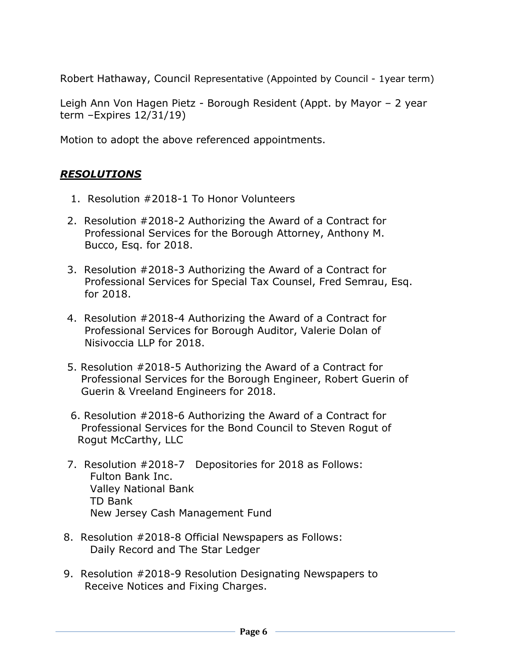Robert Hathaway, Council Representative (Appointed by Council - 1year term)

Leigh Ann Von Hagen Pietz - Borough Resident (Appt. by Mayor – 2 year term –Expires 12/31/19)

Motion to adopt the above referenced appointments.

# *RESOLUTIONS*

- 1. Resolution #2018-1 To Honor Volunteers
- 2. Resolution #2018-2 Authorizing the Award of a Contract for Professional Services for the Borough Attorney, Anthony M. Bucco, Esq. for 2018.
- 3. Resolution #2018-3 Authorizing the Award of a Contract for Professional Services for Special Tax Counsel, Fred Semrau, Esq. for 2018.
- 4. Resolution #2018-4 Authorizing the Award of a Contract for Professional Services for Borough Auditor, Valerie Dolan of Nisivoccia LLP for 2018.
- 5. Resolution #2018-5 Authorizing the Award of a Contract for Professional Services for the Borough Engineer, Robert Guerin of Guerin & Vreeland Engineers for 2018.
- 6. Resolution #2018-6 Authorizing the Award of a Contract for Professional Services for the Bond Council to Steven Rogut of Rogut McCarthy, LLC
- 7. Resolution #2018-7 Depositories for 2018 as Follows: Fulton Bank Inc. Valley National Bank TD Bank New Jersey Cash Management Fund
- 8. Resolution #2018-8 Official Newspapers as Follows: Daily Record and The Star Ledger
- 9. Resolution #2018-9 Resolution Designating Newspapers to Receive Notices and Fixing Charges.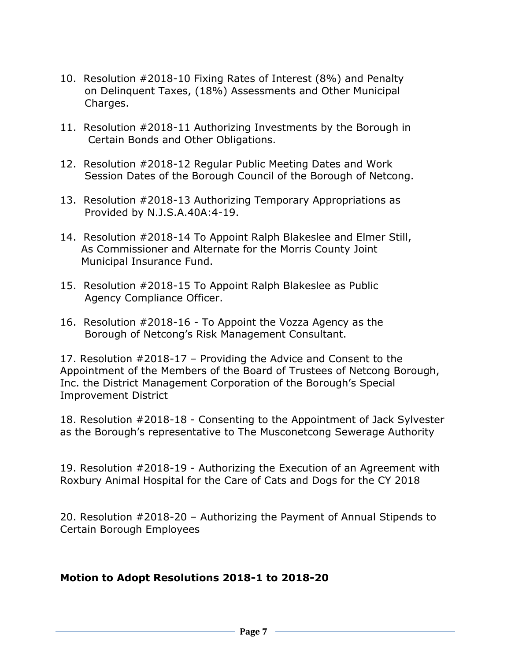- 10. Resolution #2018-10 Fixing Rates of Interest (8%) and Penalty on Delinquent Taxes, (18%) Assessments and Other Municipal Charges.
- 11. Resolution #2018-11 Authorizing Investments by the Borough in Certain Bonds and Other Obligations.
- 12. Resolution #2018-12 Regular Public Meeting Dates and Work Session Dates of the Borough Council of the Borough of Netcong.
- 13. Resolution #2018-13 Authorizing Temporary Appropriations as Provided by N.J.S.A.40A:4-19.
- 14. Resolution #2018-14 To Appoint Ralph Blakeslee and Elmer Still, As Commissioner and Alternate for the Morris County Joint Municipal Insurance Fund.
- 15. Resolution #2018-15 To Appoint Ralph Blakeslee as Public Agency Compliance Officer.
- 16. Resolution #2018-16 To Appoint the Vozza Agency as the Borough of Netcong's Risk Management Consultant.

17. Resolution #2018-17 – Providing the Advice and Consent to the Appointment of the Members of the Board of Trustees of Netcong Borough, Inc. the District Management Corporation of the Borough's Special Improvement District

18. Resolution #2018-18 - Consenting to the Appointment of Jack Sylvester as the Borough's representative to The Musconetcong Sewerage Authority

19. Resolution #2018-19 - Authorizing the Execution of an Agreement with Roxbury Animal Hospital for the Care of Cats and Dogs for the CY 2018

20. Resolution #2018-20 – Authorizing the Payment of Annual Stipends to Certain Borough Employees

### **Motion to Adopt Resolutions 2018-1 to 2018-20**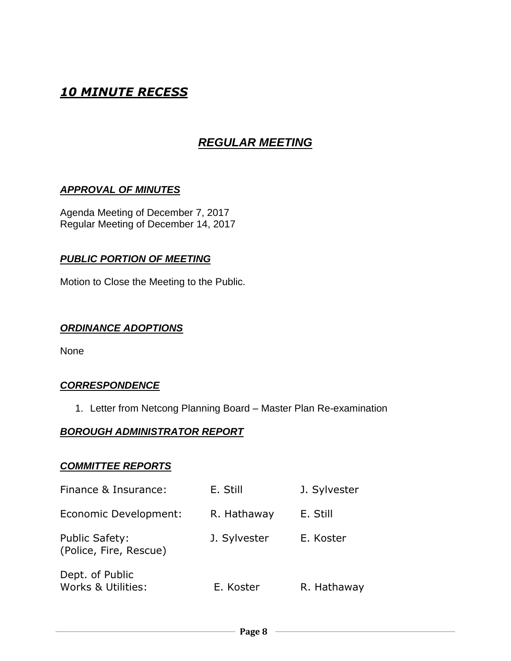# *10 MINUTE RECESS*

# *REGULAR MEETING*

### *APPROVAL OF MINUTES*

Agenda Meeting of December 7, 2017 Regular Meeting of December 14, 2017

### *PUBLIC PORTION OF MEETING*

Motion to Close the Meeting to the Public.

### *ORDINANCE ADOPTIONS*

None

#### *CORRESPONDENCE*

1. Letter from Netcong Planning Board – Master Plan Re-examination

#### *BOROUGH ADMINISTRATOR REPORT*

#### *COMMITTEE REPORTS*

| Finance & Insurance:                            | E. Still     | J. Sylvester |
|-------------------------------------------------|--------------|--------------|
| Economic Development:                           | R. Hathaway  | E. Still     |
| <b>Public Safety:</b><br>(Police, Fire, Rescue) | J. Sylvester | E. Koster    |
| Dept. of Public<br>Works & Utilities:           | E. Koster    | R. Hathaway  |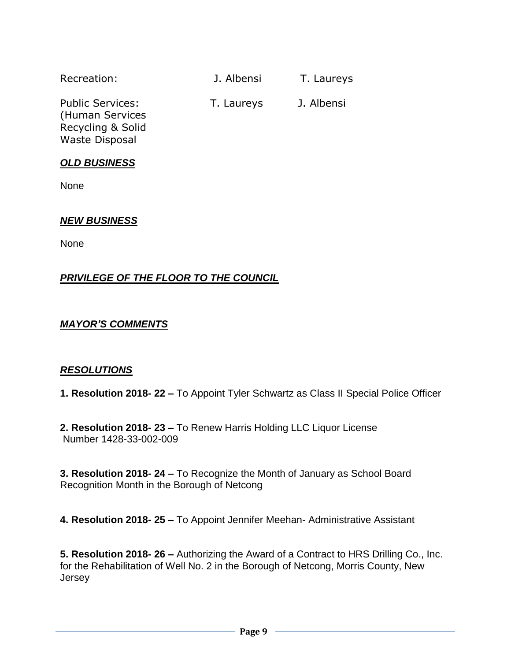| Recreation:                                                     | J. Albensi | T. Laureys |
|-----------------------------------------------------------------|------------|------------|
| <b>Public Services:</b><br>(Human Services<br>Recycling & Solid | T. Laureys | J. Albensi |

### *OLD BUSINESS*

Waste Disposal

None

### *NEW BUSINESS*

None

### *PRIVILEGE OF THE FLOOR TO THE COUNCIL*

### *MAYOR'S COMMENTS*

#### *RESOLUTIONS*

**1. Resolution 2018- 22 –** To Appoint Tyler Schwartz as Class II Special Police Officer

**2. Resolution 2018- 23 –** To Renew Harris Holding LLC Liquor License Number 1428-33-002-009

**3. Resolution 2018- 24 –** To Recognize the Month of January as School Board Recognition Month in the Borough of Netcong

**4. Resolution 2018- 25 –** To Appoint Jennifer Meehan- Administrative Assistant

**5. Resolution 2018- 26 –** Authorizing the Award of a Contract to HRS Drilling Co., Inc. for the Rehabilitation of Well No. 2 in the Borough of Netcong, Morris County, New Jersey